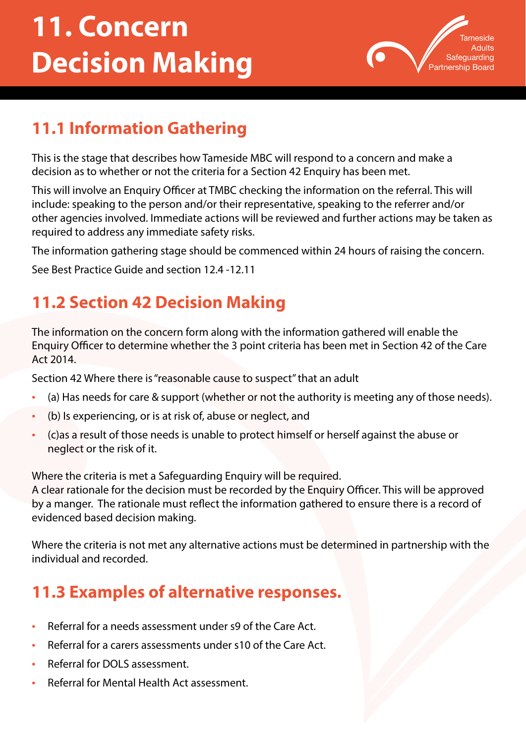# **11. Concern Decision Making**



## **11.1 Information Gathering**

This is the stage that describes how Tameside MBC will respond to a concern and make a decision as to whether or not the criteria for a Section 42 Enquiry has been met.

This will involve an Enquiry Officer at TMBC checking the information on the referral. This will include: speaking to the person and/or their representative, speaking to the referrer and/or other agencies involved. Immediate actions will be reviewed and further actions may be taken as required to address any immediate safety risks.

The information gathering stage should be commenced within 24 hours of raising the concern.

See Best Practice Guide and section 12.4 -12.11

## **11.2 Section 42 Decision Making**

The information on the concern form along with the information gathered will enable the Enquiry Officer to determine whether the 3 point criteria has been met in Section 42 of the Care Act 2014.

Section 42 Where there is "reasonable cause to suspect" that an adult

- (a) Has needs for care & support (whether or not the authority is meeting any of those needs).
- (b) Is experiencing, or is at risk of, abuse or neglect, and
- (c)as a result of those needs is unable to protect himself or herself against the abuse or neglect or the risk of it.

Where the criteria is met a Safeguarding Enquiry will be required.

A clear rationale for the decision must be recorded by the Enquiry Officer. This will be approved by a manger. The rationale must reflect the information gathered to ensure there is a record of evidenced based decision making.

Where the criteria is not met any alternative actions must be determined in partnership with the individual and recorded.

#### **11.3 Examples of alternative responses.**

- Referral for a needs assessment under s9 of the Care Act.
- Referral for a carers assessments under s10 of the Care Act.
- Referral for DOLS assessment.
- Referral for Mental Health Act assessment.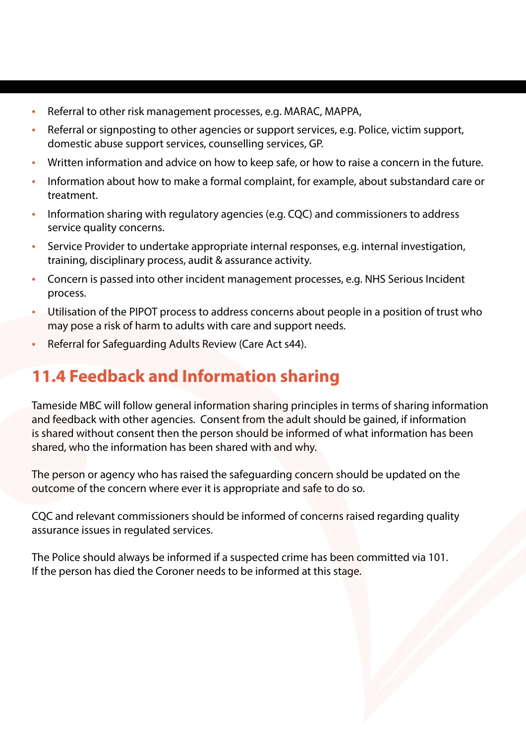- Referral to other risk management processes, e.g. MARAC, MAPPA,
- Referral or signposting to other agencies or support services, e.g. Police, victim support, domestic abuse support services, counselling services, GP.
- Written information and advice on how to keep safe, or how to raise a concern in the future.
- Information about how to make a formal complaint, for example, about substandard care or treatment.
- Information sharing with regulatory agencies (e.g. CQC) and commissioners to address service quality concerns.
- Service Provider to undertake appropriate internal responses, e.g. internal investigation, training, disciplinary process, audit & assurance activity.
- Concern is passed into other incident management processes, e.g. NHS Serious Incident process.
- Utilisation of the PIPOT process to address concerns about people in a position of trust who may pose a risk of harm to adults with care and support needs.
- Referral for Safeguarding Adults Review (Care Act s44).

#### **11.4 Feedback and Information sharing**

Tameside MBC will follow general information sharing principles in terms of sharing information and feedback with other agencies. Consent from the adult should be gained, if information is shared without consent then the person should be informed of what information has been shared, who the information has been shared with and why.

The person or agency who has raised the safeguarding concern should be updated on the outcome of the concern where ever it is appropriate and safe to do so.

CQC and relevant commissioners should be informed of concerns raised regarding quality assurance issues in regulated services.

The Police should always be informed if a suspected crime has been committed via 101. If the person has died the Coroner needs to be informed at this stage.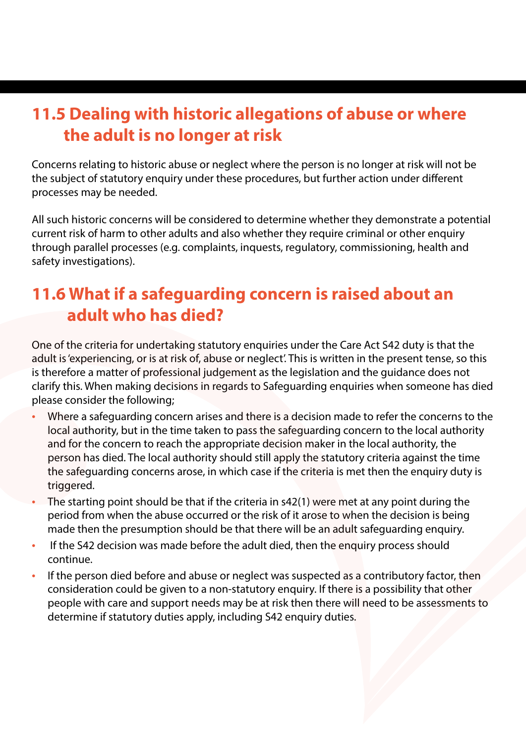#### **11.5 Dealing with historic allegations of abuse or where the adult is no longer at risk**

Concerns relating to historic abuse or neglect where the person is no longer at risk will not be the subject of statutory enquiry under these procedures, but further action under different processes may be needed.

All such historic concerns will be considered to determine whether they demonstrate a potential current risk of harm to other adults and also whether they require criminal or other enquiry through parallel processes (e.g. complaints, inquests, regulatory, commissioning, health and safety investigations).

### **11.6 What if a safeguarding concern is raised about an adult who has died?**

One of the criteria for undertaking statutory enquiries under the Care Act S42 duty is that the adult is 'experiencing, or is at risk of, abuse or neglect'. This is written in the present tense, so this is therefore a matter of professional judgement as the legislation and the guidance does not clarify this. When making decisions in regards to Safeguarding enquiries when someone has died please consider the following;

- Where a safeguarding concern arises and there is a decision made to refer the concerns to the local authority, but in the time taken to pass the safeguarding concern to the local authority and for the concern to reach the appropriate decision maker in the local authority, the person has died. The local authority should still apply the statutory criteria against the time the safeguarding concerns arose, in which case if the criteria is met then the enquiry duty is triggered.
- The starting point should be that if the criteria in s42(1) were met at any point during the period from when the abuse occurred or the risk of it arose to when the decision is being made then the presumption should be that there will be an adult safeguarding enquiry.
- If the S42 decision was made before the adult died, then the enquiry process should continue.
- If the person died before and abuse or neglect was suspected as a contributory factor, then consideration could be given to a non-statutory enquiry. If there is a possibility that other people with care and support needs may be at risk then there will need to be assessments to determine if statutory duties apply, including S42 enquiry duties.